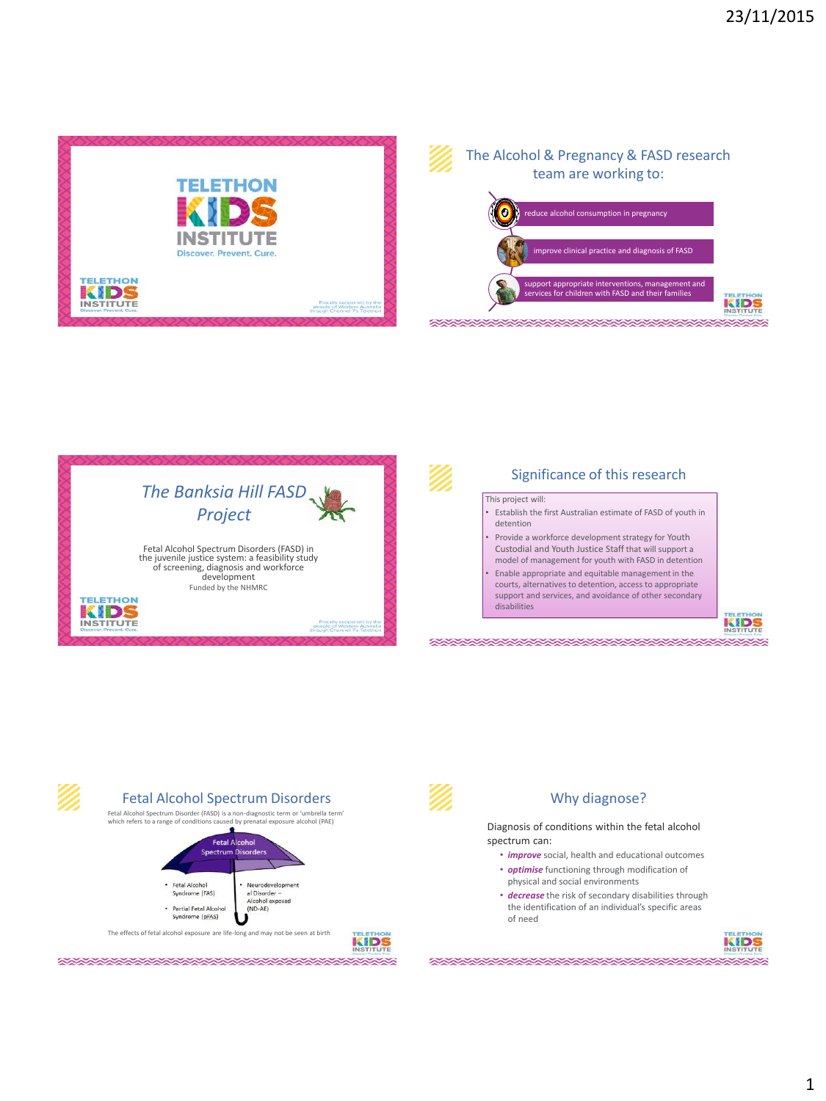







# Fetal Alcohol Spectrum Disorders Why diagnose?

Fetal Alcohol Spectrum Disorder (FASD) is a non-diagnostic term or 'umbrella term' which refers to a range of condit



\*\*\*\*\*\*\*\*\*\*\*\*\*\*\*\*\*\*\*\*\*\*\*\*\*\*



### Diagnosis of conditions within the fetal alcohol spectrum can:

- *improve* social, health and educational outcomes
- *optimise* functioning through modification of physical and social environments
- *decrease* the risk of secondary disabilities through the identification of an individual's specific areas of need



**XXXXXXXXXXXXXXXXXXXXXXXXXX**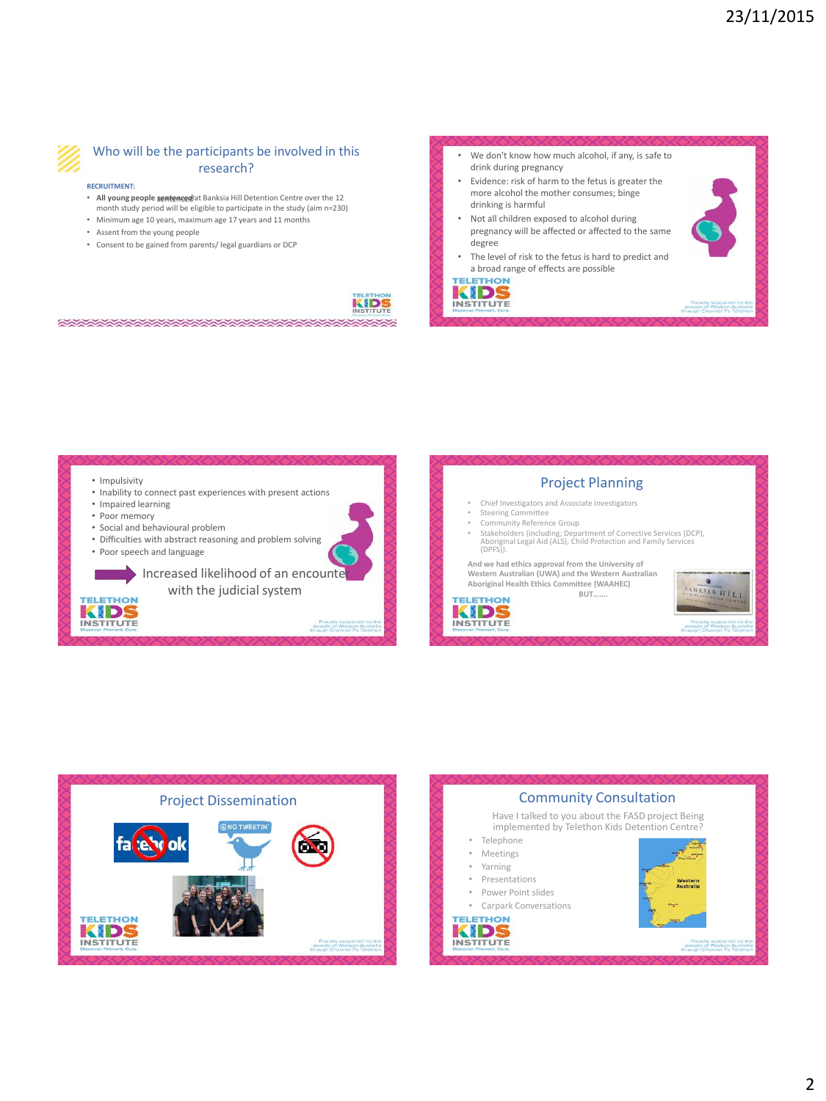Proudly supported by the<br>opie of Western Austral



# Who will be the participants be involved in this research?

#### **RECRUITMENT:**

- **All young people** *sentenced* at Banksia Hill Detention Centre over the 12
- month study period will be eligible to participate in the study (aim n=230) • Minimum age 10 years, maximum age 17 years and 11 months
- Assent from the young people
- 
- Consent to be gained from parents/ legal guardians or DCP

\*\*\*\*\*\*\*\*\*\*\*\*\*\*\*\*\*\*\*\*\*\*\*\*\*\*\*\*

We don't know how much alcohol, if any, is safe to drink during pregnancy • Evidence: risk of harm to the fetus is greater the more alcohol the mother consumes; binge drinking is harmful • Not all children exposed to alcohol during pregnancy will be affected or affected to the same degree The level of risk to the fetus is hard to predict and a broad range of effects are possible **TELETHON** KIDS



**INSTITUTE** 

• Impulsivity Project Planning • Inability to connect past experiences with present actions • Chief Investigators and Associate Investigators • Impaired learning • Steering Committee • Poor memory • Community Reference Group<br>• Stakeholders (including: Depa • Social and behavioural problem • Stakeholders (including; Department of Corrective Services (DCP), Aboriginal Legal Aid (ALS), Child Protection and Family Services (DPFS)). • Difficulties with abstract reasoning and problem solving • Poor speech and language **And we had ethics approval from the University of Western Australian (UWA) and the Western Australian**  Increased likelihood of an encounte **BANKSIA HILLE Aboriginal Health Ethics Committee (WAAHEC)** with the judicial system **BUT……. TELETHON TELETHON** KIDS KIDS **INSTITUTE INSTITUTE** Proudly supported by the<br>people of Western Australi<br>through Channel 7's Teletho